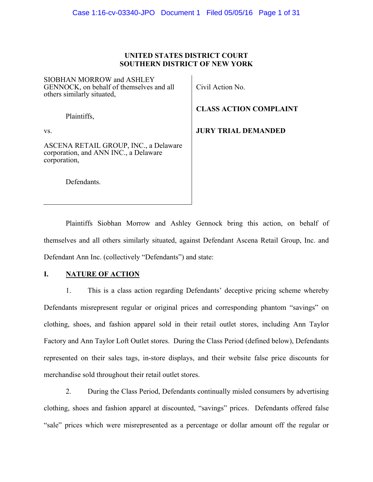### **UNITED STATES DISTRICT COURT SOUTHERN DISTRICT OF NEW YORK**

SIOBHAN MORROW and ASHLEY GENNOCK, on behalf of themselves and all others similarly situated,

Plaintiffs,

vs.

ASCENA RETAIL GROUP, INC., a Delaware corporation, and ANN INC., a Delaware corporation,

Defendants.

Civil Action No.

**CLASS ACTION COMPLAINT** 

**JURY TRIAL DEMANDED** 

Plaintiffs Siobhan Morrow and Ashley Gennock bring this action, on behalf of themselves and all others similarly situated, against Defendant Ascena Retail Group, Inc. and Defendant Ann Inc. (collectively "Defendants") and state:

## **I. NATURE OF ACTION**

1. This is a class action regarding Defendants' deceptive pricing scheme whereby Defendants misrepresent regular or original prices and corresponding phantom "savings" on clothing, shoes, and fashion apparel sold in their retail outlet stores, including Ann Taylor Factory and Ann Taylor Loft Outlet stores. During the Class Period (defined below), Defendants represented on their sales tags, in-store displays, and their website false price discounts for merchandise sold throughout their retail outlet stores.

2. During the Class Period, Defendants continually misled consumers by advertising clothing, shoes and fashion apparel at discounted, "savings" prices. Defendants offered false "sale" prices which were misrepresented as a percentage or dollar amount off the regular or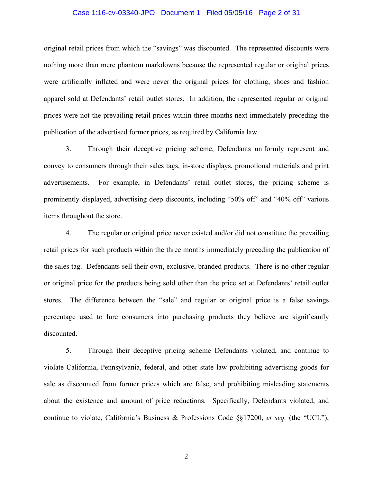#### Case 1:16-cv-03340-JPO Document 1 Filed 05/05/16 Page 2 of 31

original retail prices from which the "savings" was discounted. The represented discounts were nothing more than mere phantom markdowns because the represented regular or original prices were artificially inflated and were never the original prices for clothing, shoes and fashion apparel sold at Defendants' retail outlet stores. In addition, the represented regular or original prices were not the prevailing retail prices within three months next immediately preceding the publication of the advertised former prices, as required by California law.

3. Through their deceptive pricing scheme, Defendants uniformly represent and convey to consumers through their sales tags, in-store displays, promotional materials and print advertisements. For example, in Defendants' retail outlet stores, the pricing scheme is prominently displayed, advertising deep discounts, including "50% off" and "40% off" various items throughout the store.

4. The regular or original price never existed and/or did not constitute the prevailing retail prices for such products within the three months immediately preceding the publication of the sales tag. Defendants sell their own, exclusive, branded products. There is no other regular or original price for the products being sold other than the price set at Defendants' retail outlet stores. The difference between the "sale" and regular or original price is a false savings percentage used to lure consumers into purchasing products they believe are significantly discounted.

5. Through their deceptive pricing scheme Defendants violated, and continue to violate California, Pennsylvania, federal, and other state law prohibiting advertising goods for sale as discounted from former prices which are false, and prohibiting misleading statements about the existence and amount of price reductions. Specifically, Defendants violated, and continue to violate, California's Business & Professions Code §§17200, *et seq.* (the "UCL"),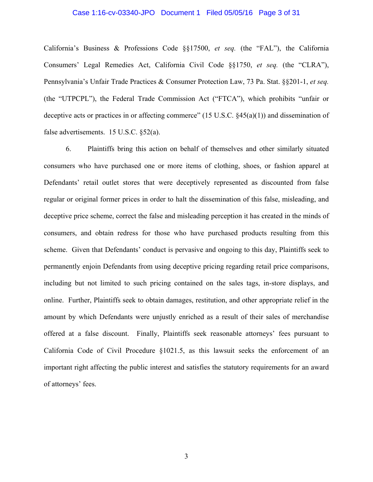#### Case 1:16-cv-03340-JPO Document 1 Filed 05/05/16 Page 3 of 31

California's Business & Professions Code §§17500, *et seq.* (the "FAL"), the California Consumers' Legal Remedies Act, California Civil Code §§1750, *et seq.* (the "CLRA"), Pennsylvania's Unfair Trade Practices & Consumer Protection Law, 73 Pa. Stat. §§201-1, *et seq.* (the "UTPCPL"), the Federal Trade Commission Act ("FTCA"), which prohibits "unfair or deceptive acts or practices in or affecting commerce" (15 U.S.C. §45(a)(1)) and dissemination of false advertisements. 15 U.S.C. §52(a).

6. Plaintiffs bring this action on behalf of themselves and other similarly situated consumers who have purchased one or more items of clothing, shoes, or fashion apparel at Defendants' retail outlet stores that were deceptively represented as discounted from false regular or original former prices in order to halt the dissemination of this false, misleading, and deceptive price scheme, correct the false and misleading perception it has created in the minds of consumers, and obtain redress for those who have purchased products resulting from this scheme. Given that Defendants' conduct is pervasive and ongoing to this day, Plaintiffs seek to permanently enjoin Defendants from using deceptive pricing regarding retail price comparisons, including but not limited to such pricing contained on the sales tags, in-store displays, and online. Further, Plaintiffs seek to obtain damages, restitution, and other appropriate relief in the amount by which Defendants were unjustly enriched as a result of their sales of merchandise offered at a false discount. Finally, Plaintiffs seek reasonable attorneys' fees pursuant to California Code of Civil Procedure §1021.5, as this lawsuit seeks the enforcement of an important right affecting the public interest and satisfies the statutory requirements for an award of attorneys' fees.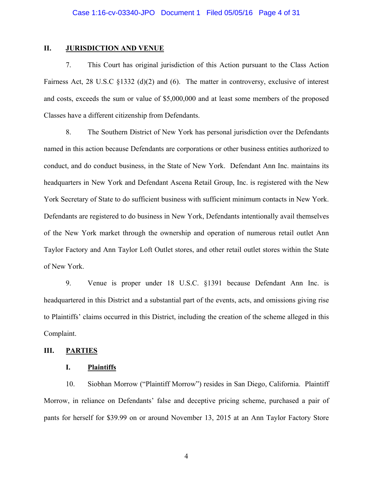### **II.** JURISDICTION AND VENUE

7. This Court has original jurisdiction of this Action pursuant to the Class Action Fairness Act, 28 U.S.C §1332 (d)(2) and (6). The matter in controversy, exclusive of interest and costs, exceeds the sum or value of \$5,000,000 and at least some members of the proposed Classes have a different citizenship from Defendants.

8. The Southern District of New York has personal jurisdiction over the Defendants named in this action because Defendants are corporations or other business entities authorized to conduct, and do conduct business, in the State of New York. Defendant Ann Inc. maintains its headquarters in New York and Defendant Ascena Retail Group, Inc. is registered with the New York Secretary of State to do sufficient business with sufficient minimum contacts in New York. Defendants are registered to do business in New York, Defendants intentionally avail themselves of the New York market through the ownership and operation of numerous retail outlet Ann Taylor Factory and Ann Taylor Loft Outlet stores, and other retail outlet stores within the State of New York.

9. Venue is proper under 18 U.S.C. §1391 because Defendant Ann Inc. is headquartered in this District and a substantial part of the events, acts, and omissions giving rise to Plaintiffs' claims occurred in this District, including the creation of the scheme alleged in this Complaint.

### **III. PARTIES**

### **I. Plaintiffs**

10. Siobhan Morrow ("Plaintiff Morrow") resides in San Diego, California. Plaintiff Morrow, in reliance on Defendants' false and deceptive pricing scheme, purchased a pair of pants for herself for \$39.99 on or around November 13, 2015 at an Ann Taylor Factory Store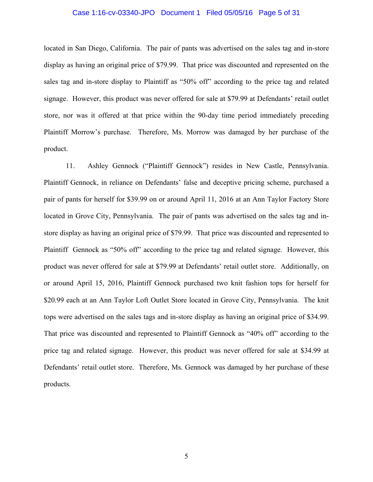#### Case 1:16-cv-03340-JPO Document 1 Filed 05/05/16 Page 5 of 31

located in San Diego, California. The pair of pants was advertised on the sales tag and in-store display as having an original price of \$79.99. That price was discounted and represented on the sales tag and in-store display to Plaintiff as "50% off" according to the price tag and related signage. However, this product was never offered for sale at \$79.99 at Defendants' retail outlet store, nor was it offered at that price within the 90-day time period immediately preceding Plaintiff Morrow's purchase. Therefore, Ms. Morrow was damaged by her purchase of the product.

11. Ashley Gennock ("Plaintiff Gennock") resides in New Castle, Pennsylvania. Plaintiff Gennock, in reliance on Defendants' false and deceptive pricing scheme, purchased a pair of pants for herself for \$39.99 on or around April 11, 2016 at an Ann Taylor Factory Store located in Grove City, Pennsylvania. The pair of pants was advertised on the sales tag and instore display as having an original price of \$79.99. That price was discounted and represented to Plaintiff Gennock as "50% off" according to the price tag and related signage. However, this product was never offered for sale at \$79.99 at Defendants' retail outlet store. Additionally, on or around April 15, 2016, Plaintiff Gennock purchased two knit fashion tops for herself for \$20.99 each at an Ann Taylor Loft Outlet Store located in Grove City, Pennsylvania. The knit tops were advertised on the sales tags and in-store display as having an original price of \$34.99. That price was discounted and represented to Plaintiff Gennock as "40% off" according to the price tag and related signage. However, this product was never offered for sale at \$34.99 at Defendants' retail outlet store. Therefore, Ms. Gennock was damaged by her purchase of these products.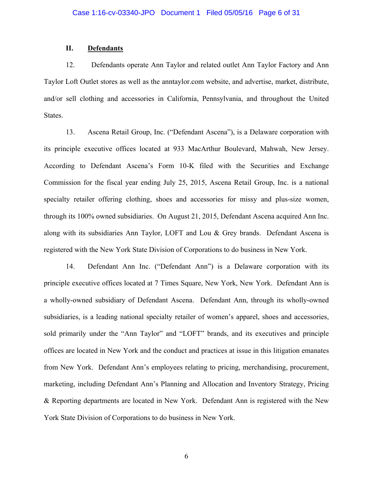### **II. Defendants**

12. Defendants operate Ann Taylor and related outlet Ann Taylor Factory and Ann Taylor Loft Outlet stores as well as the anntaylor.com website, and advertise, market, distribute, and/or sell clothing and accessories in California, Pennsylvania, and throughout the United States.

13. Ascena Retail Group, Inc. ("Defendant Ascena"), is a Delaware corporation with its principle executive offices located at 933 MacArthur Boulevard, Mahwah, New Jersey. According to Defendant Ascena's Form 10-K filed with the Securities and Exchange Commission for the fiscal year ending July 25, 2015, Ascena Retail Group, Inc. is a national specialty retailer offering clothing, shoes and accessories for missy and plus-size women, through its 100% owned subsidiaries. On August 21, 2015, Defendant Ascena acquired Ann Inc. along with its subsidiaries Ann Taylor, LOFT and Lou & Grey brands. Defendant Ascena is registered with the New York State Division of Corporations to do business in New York.

14. Defendant Ann Inc. ("Defendant Ann") is a Delaware corporation with its principle executive offices located at 7 Times Square, New York, New York. Defendant Ann is a wholly-owned subsidiary of Defendant Ascena. Defendant Ann, through its wholly-owned subsidiaries, is a leading national specialty retailer of women's apparel, shoes and accessories, sold primarily under the "Ann Taylor" and "LOFT" brands, and its executives and principle offices are located in New York and the conduct and practices at issue in this litigation emanates from New York. Defendant Ann's employees relating to pricing, merchandising, procurement, marketing, including Defendant Ann's Planning and Allocation and Inventory Strategy, Pricing & Reporting departments are located in New York. Defendant Ann is registered with the New York State Division of Corporations to do business in New York.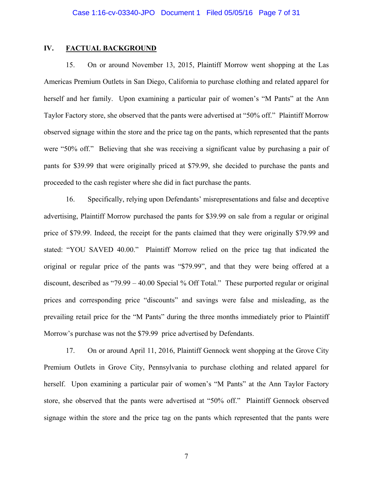## **IV. FACTUAL BACKGROUND**

15. On or around November 13, 2015, Plaintiff Morrow went shopping at the Las Americas Premium Outlets in San Diego, California to purchase clothing and related apparel for herself and her family. Upon examining a particular pair of women's "M Pants" at the Ann Taylor Factory store, she observed that the pants were advertised at "50% off." Plaintiff Morrow observed signage within the store and the price tag on the pants, which represented that the pants were "50% off." Believing that she was receiving a significant value by purchasing a pair of pants for \$39.99 that were originally priced at \$79.99, she decided to purchase the pants and proceeded to the cash register where she did in fact purchase the pants.

16. Specifically, relying upon Defendants' misrepresentations and false and deceptive advertising, Plaintiff Morrow purchased the pants for \$39.99 on sale from a regular or original price of \$79.99. Indeed, the receipt for the pants claimed that they were originally \$79.99 and stated: "YOU SAVED 40.00." Plaintiff Morrow relied on the price tag that indicated the original or regular price of the pants was "\$79.99", and that they were being offered at a discount, described as "79.99 – 40.00 Special % Off Total." These purported regular or original prices and corresponding price "discounts" and savings were false and misleading, as the prevailing retail price for the "M Pants" during the three months immediately prior to Plaintiff Morrow's purchase was not the \$79.99 price advertised by Defendants.

17. On or around April 11, 2016, Plaintiff Gennock went shopping at the Grove City Premium Outlets in Grove City, Pennsylvania to purchase clothing and related apparel for herself. Upon examining a particular pair of women's "M Pants" at the Ann Taylor Factory store, she observed that the pants were advertised at "50% off." Plaintiff Gennock observed signage within the store and the price tag on the pants which represented that the pants were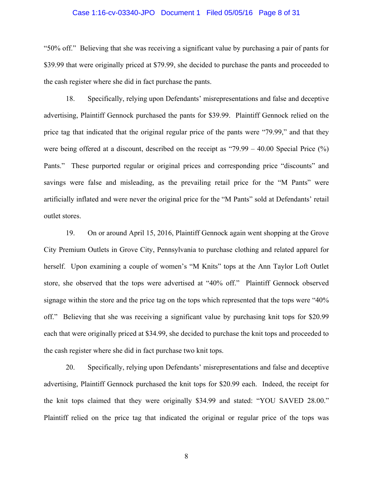#### Case 1:16-cv-03340-JPO Document 1 Filed 05/05/16 Page 8 of 31

"50% off." Believing that she was receiving a significant value by purchasing a pair of pants for \$39.99 that were originally priced at \$79.99, she decided to purchase the pants and proceeded to the cash register where she did in fact purchase the pants.

18. Specifically, relying upon Defendants' misrepresentations and false and deceptive advertising, Plaintiff Gennock purchased the pants for \$39.99. Plaintiff Gennock relied on the price tag that indicated that the original regular price of the pants were "79.99," and that they were being offered at a discount, described on the receipt as "79.99 – 40.00 Special Price (%) Pants." These purported regular or original prices and corresponding price "discounts" and savings were false and misleading, as the prevailing retail price for the "M Pants" were artificially inflated and were never the original price for the "M Pants" sold at Defendants' retail outlet stores.

19. On or around April 15, 2016, Plaintiff Gennock again went shopping at the Grove City Premium Outlets in Grove City, Pennsylvania to purchase clothing and related apparel for herself. Upon examining a couple of women's "M Knits" tops at the Ann Taylor Loft Outlet store, she observed that the tops were advertised at "40% off." Plaintiff Gennock observed signage within the store and the price tag on the tops which represented that the tops were "40% off." Believing that she was receiving a significant value by purchasing knit tops for \$20.99 each that were originally priced at \$34.99, she decided to purchase the knit tops and proceeded to the cash register where she did in fact purchase two knit tops.

20. Specifically, relying upon Defendants' misrepresentations and false and deceptive advertising, Plaintiff Gennock purchased the knit tops for \$20.99 each. Indeed, the receipt for the knit tops claimed that they were originally \$34.99 and stated: "YOU SAVED 28.00." Plaintiff relied on the price tag that indicated the original or regular price of the tops was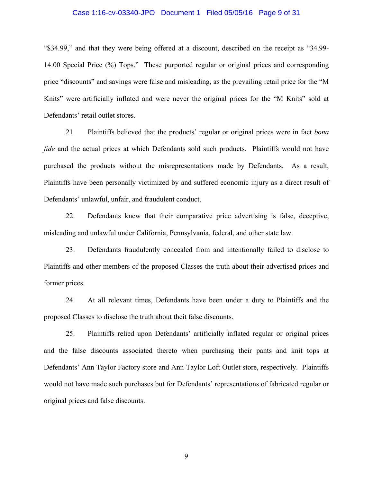### Case 1:16-cv-03340-JPO Document 1 Filed 05/05/16 Page 9 of 31

"\$34.99," and that they were being offered at a discount, described on the receipt as "34.99- 14.00 Special Price (%) Tops." These purported regular or original prices and corresponding price "discounts" and savings were false and misleading, as the prevailing retail price for the "M Knits" were artificially inflated and were never the original prices for the "M Knits" sold at Defendants' retail outlet stores.

21. Plaintiffs believed that the products' regular or original prices were in fact *bona fide* and the actual prices at which Defendants sold such products. Plaintiffs would not have purchased the products without the misrepresentations made by Defendants. As a result, Plaintiffs have been personally victimized by and suffered economic injury as a direct result of Defendants' unlawful, unfair, and fraudulent conduct.

22. Defendants knew that their comparative price advertising is false, deceptive, misleading and unlawful under California, Pennsylvania, federal, and other state law.

23. Defendants fraudulently concealed from and intentionally failed to disclose to Plaintiffs and other members of the proposed Classes the truth about their advertised prices and former prices.

24. At all relevant times, Defendants have been under a duty to Plaintiffs and the proposed Classes to disclose the truth about theit false discounts.

25. Plaintiffs relied upon Defendants' artificially inflated regular or original prices and the false discounts associated thereto when purchasing their pants and knit tops at Defendants' Ann Taylor Factory store and Ann Taylor Loft Outlet store, respectively. Plaintiffs would not have made such purchases but for Defendants' representations of fabricated regular or original prices and false discounts.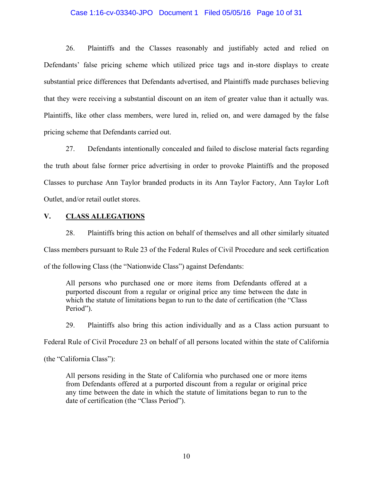### Case 1:16-cv-03340-JPO Document 1 Filed 05/05/16 Page 10 of 31

26. Plaintiffs and the Classes reasonably and justifiably acted and relied on Defendants' false pricing scheme which utilized price tags and in-store displays to create substantial price differences that Defendants advertised, and Plaintiffs made purchases believing that they were receiving a substantial discount on an item of greater value than it actually was. Plaintiffs, like other class members, were lured in, relied on, and were damaged by the false pricing scheme that Defendants carried out.

27. Defendants intentionally concealed and failed to disclose material facts regarding the truth about false former price advertising in order to provoke Plaintiffs and the proposed Classes to purchase Ann Taylor branded products in its Ann Taylor Factory, Ann Taylor Loft Outlet, and/or retail outlet stores.

### **V. CLASS ALLEGATIONS**

28. Plaintiffs bring this action on behalf of themselves and all other similarly situated Class members pursuant to Rule 23 of the Federal Rules of Civil Procedure and seek certification of the following Class (the "Nationwide Class") against Defendants:

All persons who purchased one or more items from Defendants offered at a purported discount from a regular or original price any time between the date in which the statute of limitations began to run to the date of certification (the "Class Period").

29. Plaintiffs also bring this action individually and as a Class action pursuant to

Federal Rule of Civil Procedure 23 on behalf of all persons located within the state of California

(the "California Class"):

All persons residing in the State of California who purchased one or more items from Defendants offered at a purported discount from a regular or original price any time between the date in which the statute of limitations began to run to the date of certification (the "Class Period").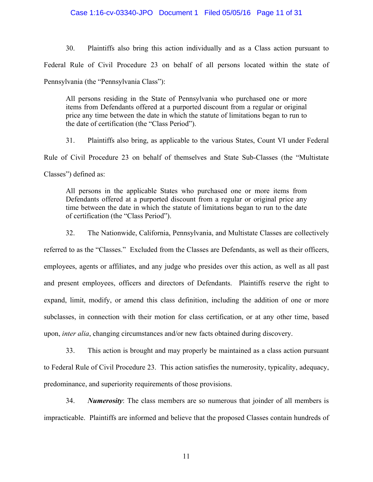### Case 1:16-cv-03340-JPO Document 1 Filed 05/05/16 Page 11 of 31

30. Plaintiffs also bring this action individually and as a Class action pursuant to Federal Rule of Civil Procedure 23 on behalf of all persons located within the state of Pennsylvania (the "Pennsylvania Class"):

All persons residing in the State of Pennsylvania who purchased one or more items from Defendants offered at a purported discount from a regular or original price any time between the date in which the statute of limitations began to run to the date of certification (the "Class Period").

31. Plaintiffs also bring, as applicable to the various States, Count VI under Federal Rule of Civil Procedure 23 on behalf of themselves and State Sub-Classes (the "Multistate Classes") defined as:

All persons in the applicable States who purchased one or more items from Defendants offered at a purported discount from a regular or original price any time between the date in which the statute of limitations began to run to the date of certification (the "Class Period").

32. The Nationwide, California, Pennsylvania, and Multistate Classes are collectively

referred to as the "Classes." Excluded from the Classes are Defendants, as well as their officers, employees, agents or affiliates, and any judge who presides over this action, as well as all past and present employees, officers and directors of Defendants. Plaintiffs reserve the right to expand, limit, modify, or amend this class definition, including the addition of one or more subclasses, in connection with their motion for class certification, or at any other time, based upon, *inter alia*, changing circumstances and/or new facts obtained during discovery.

33. This action is brought and may properly be maintained as a class action pursuant to Federal Rule of Civil Procedure 23. This action satisfies the numerosity, typicality, adequacy, predominance, and superiority requirements of those provisions.

34. *Numerosity*: The class members are so numerous that joinder of all members is impracticable. Plaintiffs are informed and believe that the proposed Classes contain hundreds of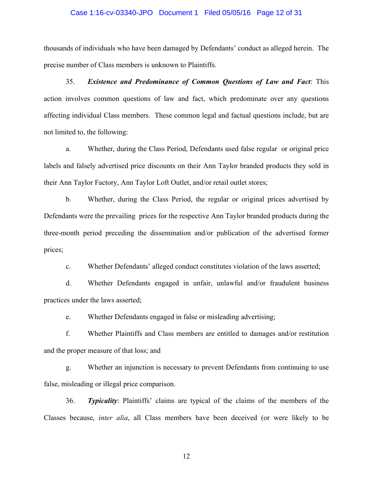### Case 1:16-cv-03340-JPO Document 1 Filed 05/05/16 Page 12 of 31

thousands of individuals who have been damaged by Defendants' conduct as alleged herein. The precise number of Class members is unknown to Plaintiffs.

35. *Existence and Predominance of Common Questions of Law and Fact*: This action involves common questions of law and fact, which predominate over any questions affecting individual Class members. These common legal and factual questions include, but are not limited to, the following:

a. Whether, during the Class Period, Defendants used false regular or original price labels and falsely advertised price discounts on their Ann Taylor branded products they sold in their Ann Taylor Factory, Ann Taylor Loft Outlet, and/or retail outlet stores;

b. Whether, during the Class Period, the regular or original prices advertised by Defendants were the prevailing prices for the respective Ann Taylor branded products during the three-month period preceding the dissemination and/or publication of the advertised former prices;

c. Whether Defendants' alleged conduct constitutes violation of the laws asserted;

d. Whether Defendants engaged in unfair, unlawful and/or fraudulent business practices under the laws asserted;

e. Whether Defendants engaged in false or misleading advertising;

f. Whether Plaintiffs and Class members are entitled to damages and/or restitution and the proper measure of that loss; and

g. Whether an injunction is necessary to prevent Defendants from continuing to use false, misleading or illegal price comparison.

36. *Typicality*: Plaintiffs' claims are typical of the claims of the members of the Classes because, *inter alia*, all Class members have been deceived (or were likely to be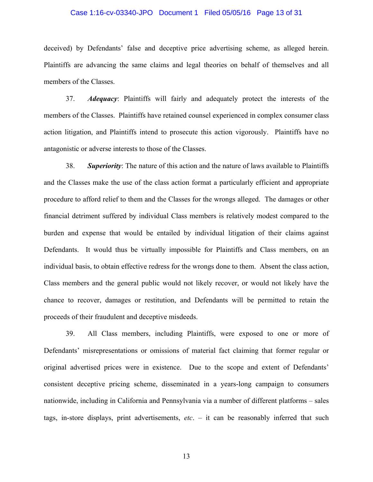# Case 1:16-cv-03340-JPO Document 1 Filed 05/05/16 Page 13 of 31

deceived) by Defendants' false and deceptive price advertising scheme, as alleged herein. Plaintiffs are advancing the same claims and legal theories on behalf of themselves and all members of the Classes.

37. *Adequacy*: Plaintiffs will fairly and adequately protect the interests of the members of the Classes. Plaintiffs have retained counsel experienced in complex consumer class action litigation, and Plaintiffs intend to prosecute this action vigorously. Plaintiffs have no antagonistic or adverse interests to those of the Classes.

38. *Superiority*: The nature of this action and the nature of laws available to Plaintiffs and the Classes make the use of the class action format a particularly efficient and appropriate procedure to afford relief to them and the Classes for the wrongs alleged. The damages or other financial detriment suffered by individual Class members is relatively modest compared to the burden and expense that would be entailed by individual litigation of their claims against Defendants. It would thus be virtually impossible for Plaintiffs and Class members, on an individual basis, to obtain effective redress for the wrongs done to them. Absent the class action, Class members and the general public would not likely recover, or would not likely have the chance to recover, damages or restitution, and Defendants will be permitted to retain the proceeds of their fraudulent and deceptive misdeeds.

39. All Class members, including Plaintiffs, were exposed to one or more of Defendants' misrepresentations or omissions of material fact claiming that former regular or original advertised prices were in existence. Due to the scope and extent of Defendants' consistent deceptive pricing scheme, disseminated in a years-long campaign to consumers nationwide, including in California and Pennsylvania via a number of different platforms – sales tags, in-store displays, print advertisements, *etc*. – it can be reasonably inferred that such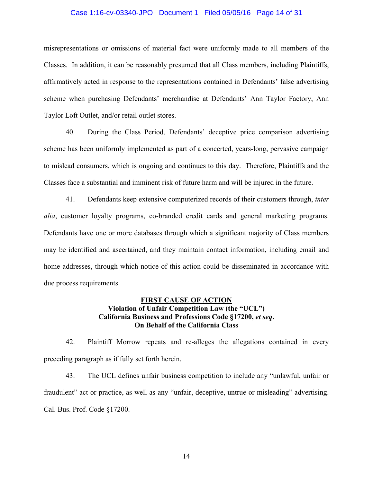# Case 1:16-cv-03340-JPO Document 1 Filed 05/05/16 Page 14 of 31

misrepresentations or omissions of material fact were uniformly made to all members of the Classes. In addition, it can be reasonably presumed that all Class members, including Plaintiffs, affirmatively acted in response to the representations contained in Defendants' false advertising scheme when purchasing Defendants' merchandise at Defendants' Ann Taylor Factory, Ann Taylor Loft Outlet, and/or retail outlet stores.

40. During the Class Period, Defendants' deceptive price comparison advertising scheme has been uniformly implemented as part of a concerted, years-long, pervasive campaign to mislead consumers, which is ongoing and continues to this day. Therefore, Plaintiffs and the Classes face a substantial and imminent risk of future harm and will be injured in the future.

41. Defendants keep extensive computerized records of their customers through, *inter alia*, customer loyalty programs, co-branded credit cards and general marketing programs. Defendants have one or more databases through which a significant majority of Class members may be identified and ascertained, and they maintain contact information, including email and home addresses, through which notice of this action could be disseminated in accordance with due process requirements.

# **FIRST CAUSE OF ACTION Violation of Unfair Competition Law (the "UCL") California Business and Professions Code §17200,** *et seq***. On Behalf of the California Class**

42. Plaintiff Morrow repeats and re-alleges the allegations contained in every preceding paragraph as if fully set forth herein.

43. The UCL defines unfair business competition to include any "unlawful, unfair or fraudulent" act or practice, as well as any "unfair, deceptive, untrue or misleading" advertising. Cal. Bus. Prof. Code §17200.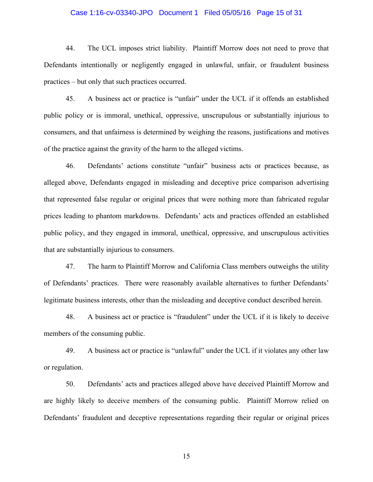# Case 1:16-cv-03340-JPO Document 1 Filed 05/05/16 Page 15 of 31

44. The UCL imposes strict liability. Plaintiff Morrow does not need to prove that Defendants intentionally or negligently engaged in unlawful, unfair, or fraudulent business practices – but only that such practices occurred.

45. A business act or practice is "unfair" under the UCL if it offends an established public policy or is immoral, unethical, oppressive, unscrupulous or substantially injurious to consumers, and that unfairness is determined by weighing the reasons, justifications and motives of the practice against the gravity of the harm to the alleged victims.

46. Defendants' actions constitute "unfair" business acts or practices because, as alleged above, Defendants engaged in misleading and deceptive price comparison advertising that represented false regular or original prices that were nothing more than fabricated regular prices leading to phantom markdowns. Defendants' acts and practices offended an established public policy, and they engaged in immoral, unethical, oppressive, and unscrupulous activities that are substantially injurious to consumers.

47. The harm to Plaintiff Morrow and California Class members outweighs the utility of Defendants' practices. There were reasonably available alternatives to further Defendants' legitimate business interests, other than the misleading and deceptive conduct described herein.

48. A business act or practice is "fraudulent" under the UCL if it is likely to deceive members of the consuming public.

49. A business act or practice is "unlawful" under the UCL if it violates any other law or regulation.

50. Defendants' acts and practices alleged above have deceived Plaintiff Morrow and are highly likely to deceive members of the consuming public. Plaintiff Morrow relied on Defendants' fraudulent and deceptive representations regarding their regular or original prices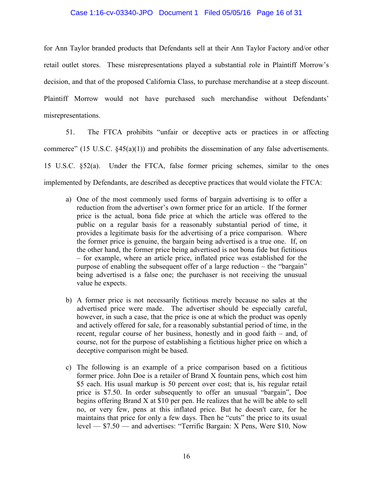### Case 1:16-cv-03340-JPO Document 1 Filed 05/05/16 Page 16 of 31

for Ann Taylor branded products that Defendants sell at their Ann Taylor Factory and/or other retail outlet stores. These misrepresentations played a substantial role in Plaintiff Morrow's decision, and that of the proposed California Class, to purchase merchandise at a steep discount. Plaintiff Morrow would not have purchased such merchandise without Defendants' misrepresentations.

51. The FTCA prohibits "unfair or deceptive acts or practices in or affecting commerce" (15 U.S.C. §45(a)(1)) and prohibits the dissemination of any false advertisements. 15 U.S.C. §52(a). Under the FTCA, false former pricing schemes, similar to the ones implemented by Defendants, are described as deceptive practices that would violate the FTCA:

- a) One of the most commonly used forms of bargain advertising is to offer a reduction from the advertiser's own former price for an article. If the former price is the actual, bona fide price at which the article was offered to the public on a regular basis for a reasonably substantial period of time, it provides a legitimate basis for the advertising of a price comparison. Where the former price is genuine, the bargain being advertised is a true one. If, on the other hand, the former price being advertised is not bona fide but fictitious – for example, where an article price, inflated price was established for the purpose of enabling the subsequent offer of a large reduction – the "bargain" being advertised is a false one; the purchaser is not receiving the unusual value he expects.
- b) A former price is not necessarily fictitious merely because no sales at the advertised price were made. The advertiser should be especially careful, however, in such a case, that the price is one at which the product was openly and actively offered for sale, for a reasonably substantial period of time, in the recent, regular course of her business, honestly and in good faith – and, of course, not for the purpose of establishing a fictitious higher price on which a deceptive comparison might be based.
- c) The following is an example of a price comparison based on a fictitious former price. John Doe is a retailer of Brand X fountain pens, which cost him \$5 each. His usual markup is 50 percent over cost; that is, his regular retail price is \$7.50. In order subsequently to offer an unusual "bargain", Doe begins offering Brand X at \$10 per pen. He realizes that he will be able to sell no, or very few, pens at this inflated price. But he doesn't care, for he maintains that price for only a few days. Then he "cuts" the price to its usual level — \$7.50 — and advertises: "Terrific Bargain: X Pens, Were \$10, Now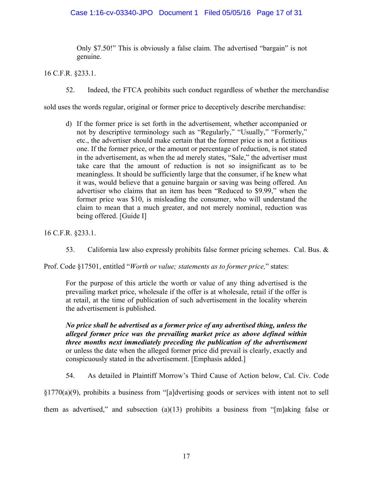# Case 1:16-cv-03340-JPO Document 1 Filed 05/05/16 Page 17 of 31

Only \$7.50!" This is obviously a false claim. The advertised "bargain" is not genuine.

16 C.F.R. §233.1.

52. Indeed, the FTCA prohibits such conduct regardless of whether the merchandise

sold uses the words regular, original or former price to deceptively describe merchandise:

d) If the former price is set forth in the advertisement, whether accompanied or not by descriptive terminology such as "Regularly," "Usually," "Formerly," etc., the advertiser should make certain that the former price is not a fictitious one. If the former price, or the amount or percentage of reduction, is not stated in the advertisement, as when the ad merely states, "Sale," the advertiser must take care that the amount of reduction is not so insignificant as to be meaningless. It should be sufficiently large that the consumer, if he knew what it was, would believe that a genuine bargain or saving was being offered. An advertiser who claims that an item has been "Reduced to \$9.99," when the former price was \$10, is misleading the consumer, who will understand the claim to mean that a much greater, and not merely nominal, reduction was being offered. [Guide I]

16 C.F.R. §233.1.

53. California law also expressly prohibits false former pricing schemes. Cal. Bus. &

Prof. Code §17501, entitled "*Worth or value; statements as to former price,*" states:

For the purpose of this article the worth or value of any thing advertised is the prevailing market price, wholesale if the offer is at wholesale, retail if the offer is at retail, at the time of publication of such advertisement in the locality wherein the advertisement is published.

*No price shall be advertised as a former price of any advertised thing, unless the alleged former price was the prevailing market price as above defined within three months next immediately preceding the publication of the advertisement* or unless the date when the alleged former price did prevail is clearly, exactly and conspicuously stated in the advertisement. [Emphasis added.]

54. As detailed in Plaintiff Morrow's Third Cause of Action below, Cal. Civ. Code

§1770(a)(9), prohibits a business from "[a]dvertising goods or services with intent not to sell them as advertised," and subsection (a)(13) prohibits a business from "[m]aking false or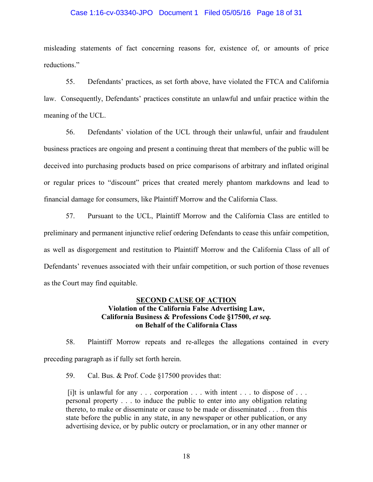#### Case 1:16-cv-03340-JPO Document 1 Filed 05/05/16 Page 18 of 31

misleading statements of fact concerning reasons for, existence of, or amounts of price reductions."

55. Defendants' practices, as set forth above, have violated the FTCA and California law. Consequently, Defendants' practices constitute an unlawful and unfair practice within the meaning of the UCL.

56. Defendants' violation of the UCL through their unlawful, unfair and fraudulent business practices are ongoing and present a continuing threat that members of the public will be deceived into purchasing products based on price comparisons of arbitrary and inflated original or regular prices to "discount" prices that created merely phantom markdowns and lead to financial damage for consumers, like Plaintiff Morrow and the California Class.

57. Pursuant to the UCL, Plaintiff Morrow and the California Class are entitled to preliminary and permanent injunctive relief ordering Defendants to cease this unfair competition, as well as disgorgement and restitution to Plaintiff Morrow and the California Class of all of Defendants' revenues associated with their unfair competition, or such portion of those revenues as the Court may find equitable.

## **SECOND CAUSE OF ACTION Violation of the California False Advertising Law, California Business & Professions Code §17500,** *et seq.*  **on Behalf of the California Class**

58. Plaintiff Morrow repeats and re-alleges the allegations contained in every preceding paragraph as if fully set forth herein.

59. Cal. Bus. & Prof. Code §17500 provides that:

[i]t is unlawful for any  $\ldots$  corporation  $\ldots$  with intent  $\ldots$  to dispose of  $\ldots$ personal property . . . to induce the public to enter into any obligation relating thereto, to make or disseminate or cause to be made or disseminated . . . from this state before the public in any state, in any newspaper or other publication, or any advertising device, or by public outcry or proclamation, or in any other manner or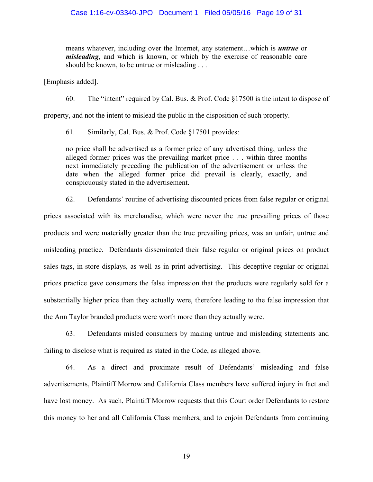means whatever, including over the Internet, any statement…which is *untrue* or *misleading*, and which is known, or which by the exercise of reasonable care should be known, to be untrue or misleading . . .

[Emphasis added].

60. The "intent" required by Cal. Bus. & Prof. Code §17500 is the intent to dispose of

property, and not the intent to mislead the public in the disposition of such property.

61. Similarly, Cal. Bus. & Prof. Code §17501 provides:

no price shall be advertised as a former price of any advertised thing, unless the alleged former prices was the prevailing market price . . . within three months next immediately preceding the publication of the advertisement or unless the date when the alleged former price did prevail is clearly, exactly, and conspicuously stated in the advertisement.

62. Defendants' routine of advertising discounted prices from false regular or original prices associated with its merchandise, which were never the true prevailing prices of those products and were materially greater than the true prevailing prices, was an unfair, untrue and misleading practice. Defendants disseminated their false regular or original prices on product sales tags, in-store displays, as well as in print advertising. This deceptive regular or original prices practice gave consumers the false impression that the products were regularly sold for a substantially higher price than they actually were, therefore leading to the false impression that the Ann Taylor branded products were worth more than they actually were.

63. Defendants misled consumers by making untrue and misleading statements and failing to disclose what is required as stated in the Code, as alleged above.

64. As a direct and proximate result of Defendants' misleading and false advertisements, Plaintiff Morrow and California Class members have suffered injury in fact and have lost money. As such, Plaintiff Morrow requests that this Court order Defendants to restore this money to her and all California Class members, and to enjoin Defendants from continuing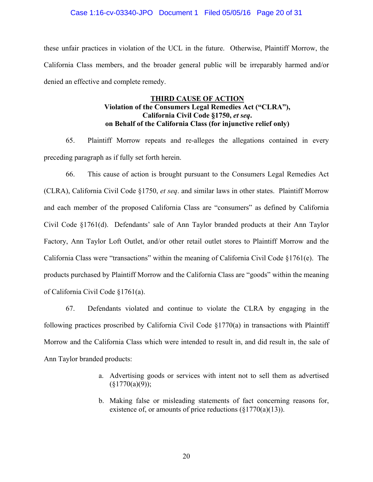### Case 1:16-cv-03340-JPO Document 1 Filed 05/05/16 Page 20 of 31

these unfair practices in violation of the UCL in the future. Otherwise, Plaintiff Morrow, the California Class members, and the broader general public will be irreparably harmed and/or denied an effective and complete remedy.

# **THIRD CAUSE OF ACTION Violation of the Consumers Legal Remedies Act ("CLRA"), California Civil Code §1750,** *et seq***. on Behalf of the California Class (for injunctive relief only)**

65. Plaintiff Morrow repeats and re-alleges the allegations contained in every preceding paragraph as if fully set forth herein.

66. This cause of action is brought pursuant to the Consumers Legal Remedies Act (CLRA), California Civil Code §1750, *et seq*. and similar laws in other states. Plaintiff Morrow and each member of the proposed California Class are "consumers" as defined by California Civil Code §1761(d). Defendants' sale of Ann Taylor branded products at their Ann Taylor Factory, Ann Taylor Loft Outlet, and/or other retail outlet stores to Plaintiff Morrow and the California Class were "transactions" within the meaning of California Civil Code §1761(e). The products purchased by Plaintiff Morrow and the California Class are "goods" within the meaning of California Civil Code §1761(a).

67. Defendants violated and continue to violate the CLRA by engaging in the following practices proscribed by California Civil Code §1770(a) in transactions with Plaintiff Morrow and the California Class which were intended to result in, and did result in, the sale of Ann Taylor branded products:

- a. Advertising goods or services with intent not to sell them as advertised  $(\S 1770(a)(9));$
- b. Making false or misleading statements of fact concerning reasons for, existence of, or amounts of price reductions  $(\frac{1770(a)(13)}{2})$ .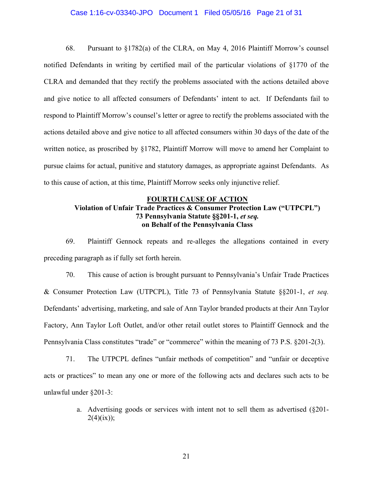### Case 1:16-cv-03340-JPO Document 1 Filed 05/05/16 Page 21 of 31

68. Pursuant to  $\S1782(a)$  of the CLRA, on May 4, 2016 Plaintiff Morrow's counsel notified Defendants in writing by certified mail of the particular violations of §1770 of the CLRA and demanded that they rectify the problems associated with the actions detailed above and give notice to all affected consumers of Defendants' intent to act. If Defendants fail to respond to Plaintiff Morrow's counsel's letter or agree to rectify the problems associated with the actions detailed above and give notice to all affected consumers within 30 days of the date of the written notice, as proscribed by §1782, Plaintiff Morrow will move to amend her Complaint to pursue claims for actual, punitive and statutory damages, as appropriate against Defendants. As to this cause of action, at this time, Plaintiff Morrow seeks only injunctive relief.

# **FOURTH CAUSE OF ACTION Violation of Unfair Trade Practices & Consumer Protection Law ("UTPCPL") 73 Pennsylvania Statute §§201-1,** *et seq.* **on Behalf of the Pennsylvania Class**

69. Plaintiff Gennock repeats and re-alleges the allegations contained in every preceding paragraph as if fully set forth herein.

70. This cause of action is brought pursuant to Pennsylvania's Unfair Trade Practices & Consumer Protection Law (UTPCPL), Title 73 of Pennsylvania Statute §§201-1, *et seq.* Defendants' advertising, marketing, and sale of Ann Taylor branded products at their Ann Taylor Factory, Ann Taylor Loft Outlet, and/or other retail outlet stores to Plaintiff Gennock and the Pennsylvania Class constitutes "trade" or "commerce" within the meaning of 73 P.S. §201-2(3).

71. The UTPCPL defines "unfair methods of competition" and "unfair or deceptive acts or practices" to mean any one or more of the following acts and declares such acts to be unlawful under §201-3:

> a. Advertising goods or services with intent not to sell them as advertised (§201-  $2(4)(ix)$ ;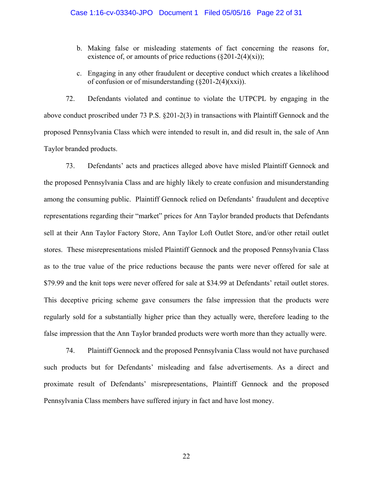- b. Making false or misleading statements of fact concerning the reasons for, existence of, or amounts of price reductions  $(\S 201-2(4)(\text{xi}));$
- c. Engaging in any other fraudulent or deceptive conduct which creates a likelihood of confusion or of misunderstanding  $(\$201-2(4)(xx))$ .

72. Defendants violated and continue to violate the UTPCPL by engaging in the above conduct proscribed under 73 P.S. §201-2(3) in transactions with Plaintiff Gennock and the proposed Pennsylvania Class which were intended to result in, and did result in, the sale of Ann Taylor branded products.

73. Defendants' acts and practices alleged above have misled Plaintiff Gennock and the proposed Pennsylvania Class and are highly likely to create confusion and misunderstanding among the consuming public. Plaintiff Gennock relied on Defendants' fraudulent and deceptive representations regarding their "market" prices for Ann Taylor branded products that Defendants sell at their Ann Taylor Factory Store, Ann Taylor Loft Outlet Store, and/or other retail outlet stores. These misrepresentations misled Plaintiff Gennock and the proposed Pennsylvania Class as to the true value of the price reductions because the pants were never offered for sale at \$79.99 and the knit tops were never offered for sale at \$34.99 at Defendants' retail outlet stores. This deceptive pricing scheme gave consumers the false impression that the products were regularly sold for a substantially higher price than they actually were, therefore leading to the false impression that the Ann Taylor branded products were worth more than they actually were.

74. Plaintiff Gennock and the proposed Pennsylvania Class would not have purchased such products but for Defendants' misleading and false advertisements. As a direct and proximate result of Defendants' misrepresentations, Plaintiff Gennock and the proposed Pennsylvania Class members have suffered injury in fact and have lost money.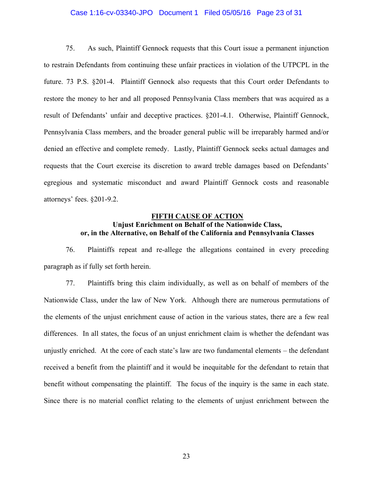### Case 1:16-cv-03340-JPO Document 1 Filed 05/05/16 Page 23 of 31

75. As such, Plaintiff Gennock requests that this Court issue a permanent injunction to restrain Defendants from continuing these unfair practices in violation of the UTPCPL in the future. 73 P.S. §201-4. Plaintiff Gennock also requests that this Court order Defendants to restore the money to her and all proposed Pennsylvania Class members that was acquired as a result of Defendants' unfair and deceptive practices. §201-4.1. Otherwise, Plaintiff Gennock, Pennsylvania Class members, and the broader general public will be irreparably harmed and/or denied an effective and complete remedy. Lastly, Plaintiff Gennock seeks actual damages and requests that the Court exercise its discretion to award treble damages based on Defendants' egregious and systematic misconduct and award Plaintiff Gennock costs and reasonable attorneys' fees. §201-9.2.

# **FIFTH CAUSE OF ACTION Unjust Enrichment on Behalf of the Nationwide Class, or, in the Alternative, on Behalf of the California and Pennsylvania Classes**

76. Plaintiffs repeat and re-allege the allegations contained in every preceding paragraph as if fully set forth herein.

77. Plaintiffs bring this claim individually, as well as on behalf of members of the Nationwide Class, under the law of New York. Although there are numerous permutations of the elements of the unjust enrichment cause of action in the various states, there are a few real differences. In all states, the focus of an unjust enrichment claim is whether the defendant was unjustly enriched. At the core of each state's law are two fundamental elements – the defendant received a benefit from the plaintiff and it would be inequitable for the defendant to retain that benefit without compensating the plaintiff. The focus of the inquiry is the same in each state. Since there is no material conflict relating to the elements of unjust enrichment between the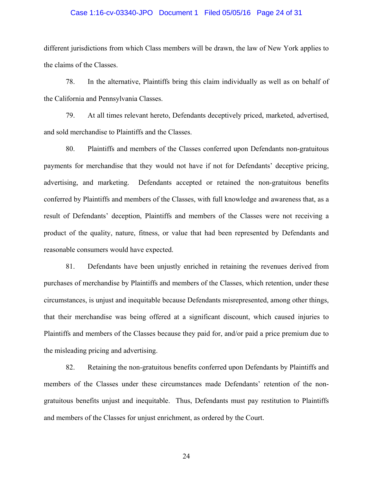# Case 1:16-cv-03340-JPO Document 1 Filed 05/05/16 Page 24 of 31

different jurisdictions from which Class members will be drawn, the law of New York applies to the claims of the Classes.

78. In the alternative, Plaintiffs bring this claim individually as well as on behalf of the California and Pennsylvania Classes.

79. At all times relevant hereto, Defendants deceptively priced, marketed, advertised, and sold merchandise to Plaintiffs and the Classes.

80. Plaintiffs and members of the Classes conferred upon Defendants non-gratuitous payments for merchandise that they would not have if not for Defendants' deceptive pricing, advertising, and marketing. Defendants accepted or retained the non-gratuitous benefits conferred by Plaintiffs and members of the Classes, with full knowledge and awareness that, as a result of Defendants' deception, Plaintiffs and members of the Classes were not receiving a product of the quality, nature, fitness, or value that had been represented by Defendants and reasonable consumers would have expected.

81. Defendants have been unjustly enriched in retaining the revenues derived from purchases of merchandise by Plaintiffs and members of the Classes, which retention, under these circumstances, is unjust and inequitable because Defendants misrepresented, among other things, that their merchandise was being offered at a significant discount, which caused injuries to Plaintiffs and members of the Classes because they paid for, and/or paid a price premium due to the misleading pricing and advertising.

82. Retaining the non-gratuitous benefits conferred upon Defendants by Plaintiffs and members of the Classes under these circumstances made Defendants' retention of the nongratuitous benefits unjust and inequitable. Thus, Defendants must pay restitution to Plaintiffs and members of the Classes for unjust enrichment, as ordered by the Court.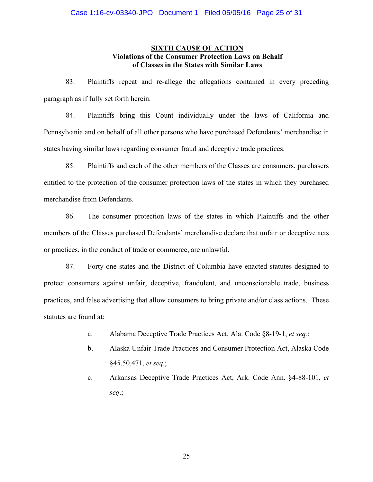# **SIXTH CAUSE OF ACTION Violations of the Consumer Protection Laws on Behalf of Classes in the States with Similar Laws**

83. Plaintiffs repeat and re-allege the allegations contained in every preceding paragraph as if fully set forth herein.

84. Plaintiffs bring this Count individually under the laws of California and Pennsylvania and on behalf of all other persons who have purchased Defendants' merchandise in states having similar laws regarding consumer fraud and deceptive trade practices.

85. Plaintiffs and each of the other members of the Classes are consumers, purchasers entitled to the protection of the consumer protection laws of the states in which they purchased merchandise from Defendants.

86. The consumer protection laws of the states in which Plaintiffs and the other members of the Classes purchased Defendants' merchandise declare that unfair or deceptive acts or practices, in the conduct of trade or commerce, are unlawful.

87. Forty-one states and the District of Columbia have enacted statutes designed to protect consumers against unfair, deceptive, fraudulent, and unconscionable trade, business practices, and false advertising that allow consumers to bring private and/or class actions. These statutes are found at:

- a. Alabama Deceptive Trade Practices Act, Ala. Code §8-19-1, *et seq.*;
- b. Alaska Unfair Trade Practices and Consumer Protection Act, Alaska Code §45.50.471, *et seq.*;
- c. Arkansas Deceptive Trade Practices Act, Ark. Code Ann. §4-88-101, *et seq*.;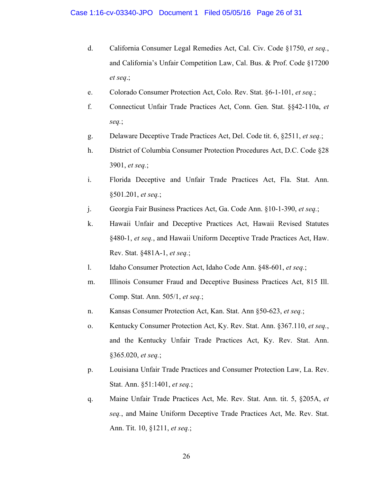- d. California Consumer Legal Remedies Act, Cal. Civ. Code §1750, *et seq.*, and California's Unfair Competition Law, Cal. Bus. & Prof. Code §17200 *et seq*.;
- e. Colorado Consumer Protection Act, Colo. Rev. Stat. §6-1-101, *et seq.*;
- f. Connecticut Unfair Trade Practices Act, Conn. Gen. Stat. §§42-110a, *et seq.*;
- g. Delaware Deceptive Trade Practices Act, Del. Code tit. 6, §2511, *et seq.*;
- h. District of Columbia Consumer Protection Procedures Act, D.C. Code §28 3901, *et seq.*;
- i. Florida Deceptive and Unfair Trade Practices Act, Fla. Stat. Ann. §501.201, *et seq.*;
- j. Georgia Fair Business Practices Act, Ga. Code Ann. §10-1-390, *et seq.*;
- k. Hawaii Unfair and Deceptive Practices Act, Hawaii Revised Statutes §480-1, *et seq.*, and Hawaii Uniform Deceptive Trade Practices Act, Haw. Rev. Stat. §481A-1, *et seq.*;
- l. Idaho Consumer Protection Act, Idaho Code Ann. §48-601, *et seq.*;
- m. Illinois Consumer Fraud and Deceptive Business Practices Act, 815 Ill. Comp. Stat. Ann. 505/1, *et seq.*;
- n. Kansas Consumer Protection Act, Kan. Stat. Ann §50-623, *et seq.*;
- o. Kentucky Consumer Protection Act, Ky. Rev. Stat. Ann. §367.110, *et seq.*, and the Kentucky Unfair Trade Practices Act, Ky. Rev. Stat. Ann. §365.020, *et seq.*;
- p. Louisiana Unfair Trade Practices and Consumer Protection Law, La. Rev. Stat. Ann. §51:1401, *et seq.*;
- q. Maine Unfair Trade Practices Act, Me. Rev. Stat. Ann. tit. 5, §205A, *et seq.*, and Maine Uniform Deceptive Trade Practices Act, Me. Rev. Stat. Ann. Tit. 10, §1211, *et seq.*;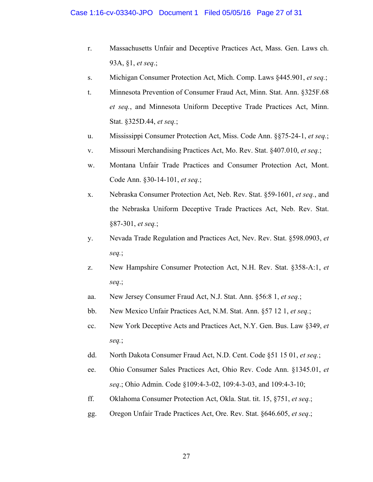- r. Massachusetts Unfair and Deceptive Practices Act, Mass. Gen. Laws ch. 93A, §1, *et seq*.;
- s. Michigan Consumer Protection Act, Mich. Comp. Laws §445.901, *et seq.*;
- t. Minnesota Prevention of Consumer Fraud Act, Minn. Stat. Ann. §325F.68 *et seq.*, and Minnesota Uniform Deceptive Trade Practices Act, Minn. Stat. §325D.44, *et seq.*;
- u. Mississippi Consumer Protection Act, Miss. Code Ann. §§75-24-1, *et seq.*;
- v. Missouri Merchandising Practices Act, Mo. Rev. Stat. §407.010, *et seq.*;
- w. Montana Unfair Trade Practices and Consumer Protection Act, Mont. Code Ann. §30-14-101, *et seq.*;
- x. Nebraska Consumer Protection Act, Neb. Rev. Stat. §59-1601, *et seq.*, and the Nebraska Uniform Deceptive Trade Practices Act, Neb. Rev. Stat. §87-301, *et seq.*;
- y. Nevada Trade Regulation and Practices Act, Nev. Rev. Stat. §598.0903, *et seq.*;
- z. New Hampshire Consumer Protection Act, N.H. Rev. Stat. §358-A:1, *et seq*.;
- aa. New Jersey Consumer Fraud Act, N.J. Stat. Ann. §56:8 1, *et seq.*;
- bb. New Mexico Unfair Practices Act, N.M. Stat. Ann. §57 12 1, *et seq.*;
- cc. New York Deceptive Acts and Practices Act, N.Y. Gen. Bus. Law §349, *et seq.*;
- dd. North Dakota Consumer Fraud Act, N.D. Cent. Code §51 15 01, *et seq.*;
- ee. Ohio Consumer Sales Practices Act, Ohio Rev. Code Ann. §1345.01, *et seq*.; Ohio Admin. Code §109:4-3-02, 109:4-3-03, and 109:4-3-10;
- ff. Oklahoma Consumer Protection Act, Okla. Stat. tit. 15, §751, *et seq.*;
- gg. Oregon Unfair Trade Practices Act, Ore. Rev. Stat. §646.605, *et seq*.;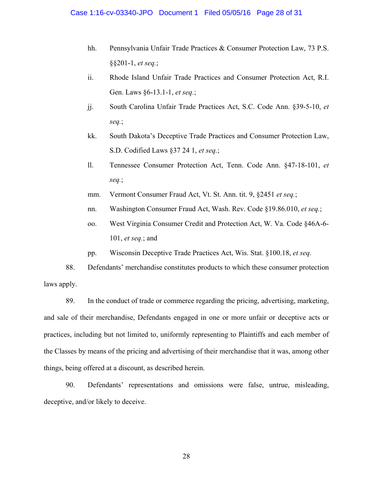- hh. Pennsylvania Unfair Trade Practices & Consumer Protection Law, 73 P.S. §§201-1, *et seq.*;
- ii. Rhode Island Unfair Trade Practices and Consumer Protection Act, R.I. Gen. Laws §6-13.1-1, *et seq.*;
- jj. South Carolina Unfair Trade Practices Act, S.C. Code Ann. §39-5-10, *et seq.*;
- kk. South Dakota's Deceptive Trade Practices and Consumer Protection Law, S.D. Codified Laws §37 24 1, *et seq.*;
- ll. Tennessee Consumer Protection Act, Tenn. Code Ann. §47-18-101, *et seq.*;
- mm. Vermont Consumer Fraud Act, Vt. St. Ann. tit. 9, §2451 *et seq.*;
- nn. Washington Consumer Fraud Act, Wash. Rev. Code §19.86.010, *et seq.*;
- oo. West Virginia Consumer Credit and Protection Act, W. Va. Code §46A-6- 101, *et seq.*; and
- pp. Wisconsin Deceptive Trade Practices Act, Wis. Stat. §100.18, *et seq.*

88. Defendants' merchandise constitutes products to which these consumer protection laws apply.

89. In the conduct of trade or commerce regarding the pricing, advertising, marketing, and sale of their merchandise, Defendants engaged in one or more unfair or deceptive acts or practices, including but not limited to, uniformly representing to Plaintiffs and each member of the Classes by means of the pricing and advertising of their merchandise that it was, among other things, being offered at a discount, as described herein.

90. Defendants' representations and omissions were false, untrue, misleading, deceptive, and/or likely to deceive.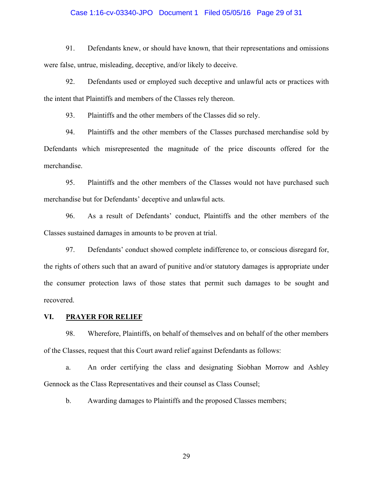# Case 1:16-cv-03340-JPO Document 1 Filed 05/05/16 Page 29 of 31

91. Defendants knew, or should have known, that their representations and omissions were false, untrue, misleading, deceptive, and/or likely to deceive.

92. Defendants used or employed such deceptive and unlawful acts or practices with the intent that Plaintiffs and members of the Classes rely thereon.

93. Plaintiffs and the other members of the Classes did so rely.

94. Plaintiffs and the other members of the Classes purchased merchandise sold by Defendants which misrepresented the magnitude of the price discounts offered for the merchandise.

95. Plaintiffs and the other members of the Classes would not have purchased such merchandise but for Defendants' deceptive and unlawful acts.

96. As a result of Defendants' conduct, Plaintiffs and the other members of the Classes sustained damages in amounts to be proven at trial.

97. Defendants' conduct showed complete indifference to, or conscious disregard for, the rights of others such that an award of punitive and/or statutory damages is appropriate under the consumer protection laws of those states that permit such damages to be sought and recovered.

### **VI. PRAYER FOR RELIEF**

98. Wherefore, Plaintiffs, on behalf of themselves and on behalf of the other members of the Classes, request that this Court award relief against Defendants as follows:

a. An order certifying the class and designating Siobhan Morrow and Ashley Gennock as the Class Representatives and their counsel as Class Counsel;

b. Awarding damages to Plaintiffs and the proposed Classes members;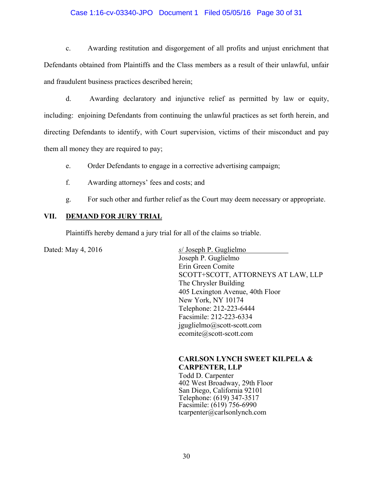## Case 1:16-cv-03340-JPO Document 1 Filed 05/05/16 Page 30 of 31

c. Awarding restitution and disgorgement of all profits and unjust enrichment that Defendants obtained from Plaintiffs and the Class members as a result of their unlawful, unfair and fraudulent business practices described herein;

d. Awarding declaratory and injunctive relief as permitted by law or equity, including: enjoining Defendants from continuing the unlawful practices as set forth herein, and directing Defendants to identify, with Court supervision, victims of their misconduct and pay them all money they are required to pay;

e. Order Defendants to engage in a corrective advertising campaign;

- f. Awarding attorneys' fees and costs; and
- g. For such other and further relief as the Court may deem necessary or appropriate.

### **VII. DEMAND FOR JURY TRIAL**

Plaintiffs hereby demand a jury trial for all of the claims so triable.

Dated: May 4, 2016 *s*/ Joseph P. Guglielmo Joseph P. Guglielmo Erin Green Comite SCOTT+SCOTT, ATTORNEYS AT LAW, LLP The Chrysler Building 405 Lexington Avenue, 40th Floor New York, NY 10174 Telephone: 212-223-6444 Facsimile: 212-223-6334 jguglielmo@scott-scott.com ecomite@scott-scott.com

# **CARLSON LYNCH SWEET KILPELA & CARPENTER, LLP**

Todd D. Carpenter 402 West Broadway, 29th Floor San Diego, California 92101 Telephone: (619) 347-3517 Facsimile: (619) 756-6990 tcarpenter@carlsonlynch.com